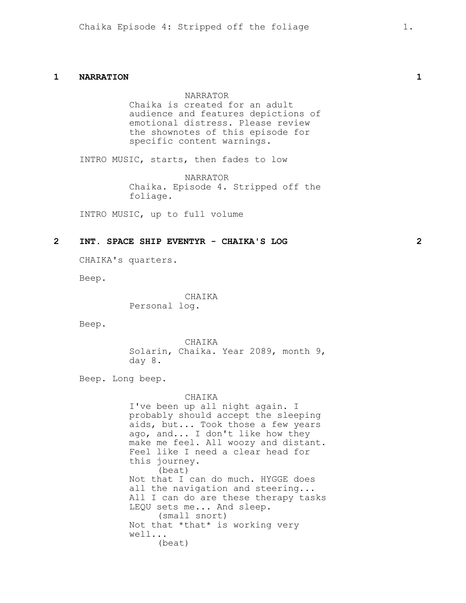# **1 NARRATION 1**

NARRATOR Chaika is created for an adult audience and features depictions of emotional distress. Please review the shownotes of this episode for specific content warnings.

INTRO MUSIC, starts, then fades to low

NARRATOR Chaika. Episode 4. Stripped off the foliage.

INTRO MUSIC, up to full volume

## **2 INT. SPACE SHIP EVENTYR - CHAIKA'S LOG 2**

CHAIKA's quarters.

Beep.

#### CHAIKA

Personal log.

Beep.

CHAIKA Solarin, Chaika. Year 2089, month 9, day 8.

Beep. Long beep.

CHAIKA I've been up all night again. I probably should accept the sleeping aids, but... Took those a few years ago, and... I don't like how they make me feel. All woozy and distant. Feel like I need a clear head for this journey. (beat) Not that I can do much. HYGGE does all the navigation and steering... All I can do are these therapy tasks LEQU sets me... And sleep. (small snort) Not that \*that\* is working very well... (beat)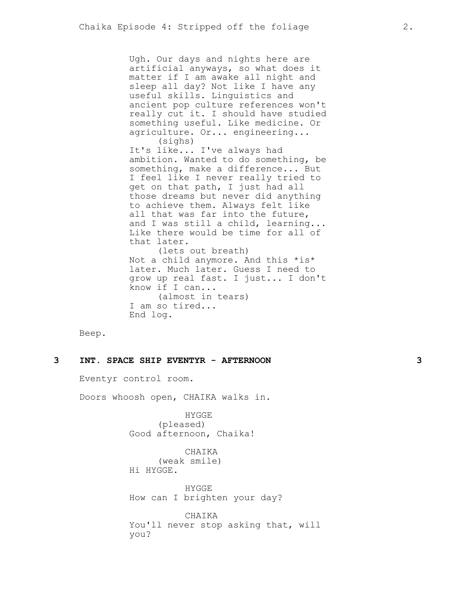Ugh. Our days and nights here are artificial anyways, so what does it matter if I am awake all night and sleep all day? Not like I have any useful skills. Linguistics and ancient pop culture references won't really cut it. I should have studied something useful. Like medicine. Or agriculture. Or... engineering... (sighs) It's like... I've always had ambition. Wanted to do something, be something, make a difference... But I feel like I never really tried to get on that path, I just had all those dreams but never did anything to achieve them. Always felt like all that was far into the future, and I was still a child, learning... Like there would be time for all of that later. (lets out breath) Not a child anymore. And this \*is\* later. Much later. Guess I need to grow up real fast. I just... I don't know if I can... (almost in tears) I am so tired... End log.

Beep.

# **3 INT. SPACE SHIP EVENTYR - AFTERNOON 3**

Eventyr control room.

Doors whoosh open, CHAIKA walks in.

HYGGE (pleased) Good afternoon, Chaika!

CHAIKA (weak smile) Hi HYGGE.

HYGGE How can I brighten your day?

CHAIKA You'll never stop asking that, will you?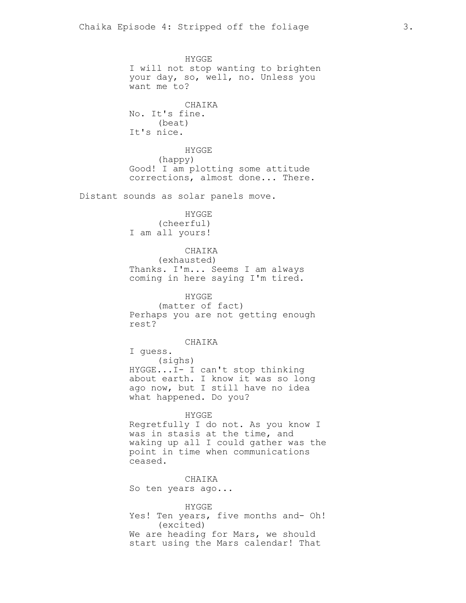HYGGE I will not stop wanting to brighten your day, so, well, no. Unless you want me to? CHAIKA No. It's fine. (beat) It's nice. HYGGE (happy) Good! I am plotting some attitude corrections, almost done... There. Distant sounds as solar panels move. HYGGE (cheerful) I am all yours! CHAIKA (exhausted) Thanks. I'm... Seems I am always coming in here saying I'm tired. HYGGE (matter of fact) Perhaps you are not getting enough rest? CHAIKA I guess. (sighs) HYGGE...I- I can't stop thinking about earth. I know it was so long ago now, but I still have no idea what happened. Do you? HYGGE Regretfully I do not. As you know I was in stasis at the time, and waking up all I could gather was the point in time when communications ceased. CHAIKA So ten years ago... HYGGE Yes! Ten years, five months and- Oh! (excited) We are heading for Mars, we should start using the Mars calendar! That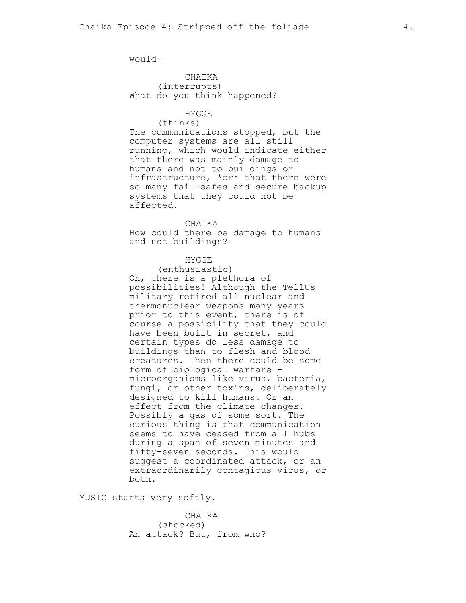would-

CHAIKA (interrupts) What do you think happened?

## HYGGE

#### (thinks)

The communications stopped, but the computer systems are all still running, which would indicate either that there was mainly damage to humans and not to buildings or infrastructure, \*or\* that there were so many fail-safes and secure backup systems that they could not be affected.

CHAIKA How could there be damage to humans and not buildings?

#### HYGGE

(enthusiastic) Oh, there is a plethora of possibilities! Although the TellUs military retired all nuclear and thermonuclear weapons many years prior to this event, there is of course a possibility that they could have been built in secret, and certain types do less damage to buildings than to flesh and blood creatures. Then there could be some form of biological warfare microorganisms like virus, bacteria, fungi, or other toxins, deliberately designed to kill humans. Or an effect from the climate changes. Possibly a gas of some sort. The curious thing is that communication seems to have ceased from all hubs during a span of seven minutes and fifty-seven seconds. This would suggest a coordinated attack, or an extraordinarily contagious virus, or both.

MUSIC starts very softly.

CHAIKA (shocked) An attack? But, from who?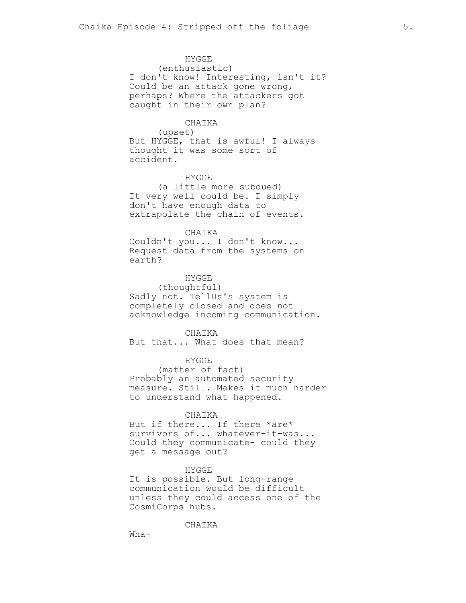HYGGE

(enthusiastic) I don't know! Interesting, isn't it? Could be an attack gone wrong, perhaps? Where the attackers got caught in their own plan?

#### CHAIKA

(upset) But HYGGE, that is awful! I always thought it was some sort of accident.

## HYGGE

(a little more subdued) It very well could be. I simply don't have enough data to extrapolate the chain of events.

#### CHAIKA

Couldn't you... I don't know... Request data from the systems on earth?

# HYGGE

(thoughtful) Sadly not. TellUs's system is completely closed and does not acknowledge incoming communication.

#### CHAIKA

But that... What does that mean?

## HYGGE

(matter of fact) Probably an automated security measure. Still. Makes it much harder to understand what happened.

#### CHAIKA

But if there... If there \*are\* survivors of... whatever-it-was... Could they communicate- could they get a message out?

#### HYGGE

It is possible. But long-range communication would be difficult unless they could access one of the CosmiCorps hubs.

## CHAIKA

Wha-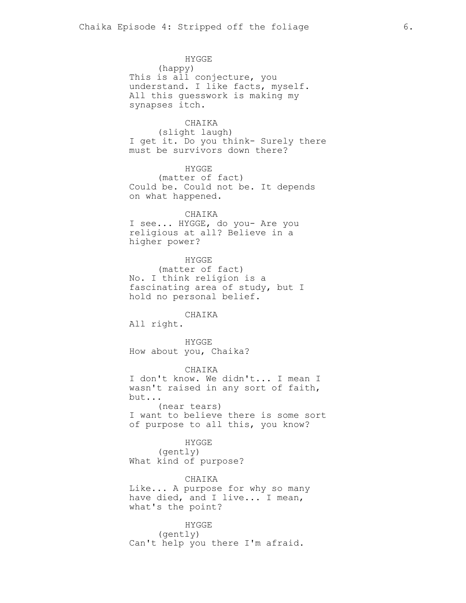HYGGE (happy) This is all conjecture, you understand. I like facts, myself. All this guesswork is making my synapses itch.

#### CHAIKA

(slight laugh) I get it. Do you think- Surely there must be survivors down there?

HYGGE (matter of fact) Could be. Could not be. It depends on what happened.

CHAIKA I see... HYGGE, do you- Are you religious at all? Believe in a higher power?

HYGGE (matter of fact) No. I think religion is a fascinating area of study, but I hold no personal belief.

## CHAIKA

All right.

HYGGE How about you, Chaika?

CHAIKA I don't know. We didn't... I mean I wasn't raised in any sort of faith, but... (near tears) I want to believe there is some sort of purpose to all this, you know?

HYGGE (gently) What kind of purpose?

CHAIKA Like... A purpose for why so many have died, and I live... I mean, what's the point?

HYGGE (gently) Can't help you there I'm afraid.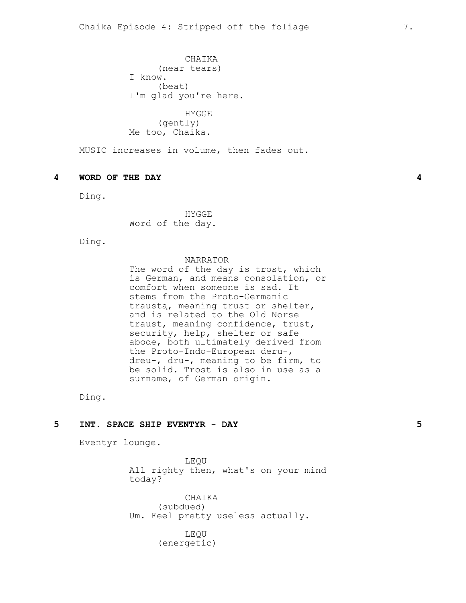CHAIKA (near tears) I know. (beat) I'm glad you're here.

HYGGE (gently) Me too, Chaika.

MUSIC increases in volume, then fades out.

#### **4 WORD OF THE DAY 4**

Ding.

HYGGE Word of the day.

Ding.

#### NARRATOR

The word of the day is trost, which is German, and means consolation, or comfort when someone is sad. It stems from the Proto-Germanic traustą, meaning trust or shelter, and is related to the Old Norse traust, meaning confidence, trust, security, help, shelter or safe abode, both ultimately derived from the Proto-Indo-European deru-, dreu-, drū-, meaning to be firm, to be solid. Trost is also in use as a surname, of German origin.

Ding.

### **5 INT. SPACE SHIP EVENTYR - DAY 5**

Eventyr lounge.

LEQU All righty then, what's on your mind today?

CHAIKA (subdued) Um. Feel pretty useless actually.

> LEQU (energetic)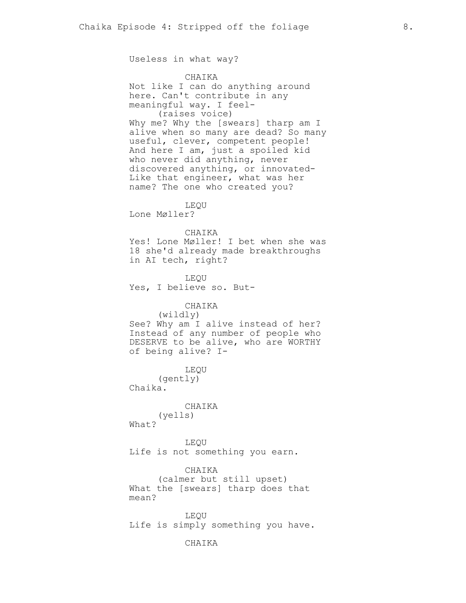Useless in what way?

#### CHAIKA

Not like I can do anything around here. Can't contribute in any meaningful way. I feel- (raises voice) Why me? Why the [swears] tharp am I alive when so many are dead? So many useful, clever, competent people! And here I am, just a spoiled kid who never did anything, never discovered anything, or innovated-Like that engineer, what was her name? The one who created you?

LEQU Lone Møller?

#### CHAIKA

Yes! Lone Møller! I bet when she was 18 she'd already made breakthroughs in AI tech, right?

LEQU Yes, I believe so. But-

# CHAIKA

(wildly) See? Why am I alive instead of her?

Instead of any number of people who DESERVE to be alive, who are WORTHY of being alive? I-

LEQU (gently) Chaika.

# CHAIKA

(yells)

What?

LEQU Life is not something you earn.

CHAIKA (calmer but still upset) What the [swears] tharp does that mean?

LEQU Life is simply something you have.

## CHAIKA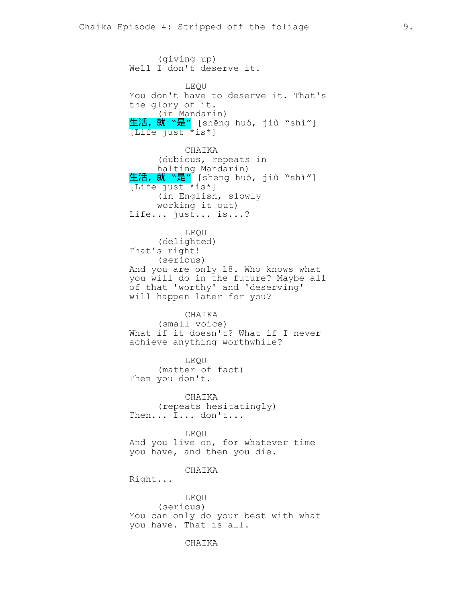(giving up) Well I don't deserve it. LEQU You don't have to deserve it. That's the glory of it. (in Mandarin) <mark>生活,就 "是"</mark> [shēng huó, jiù "shì"] [Life just \*is\*] CHAIKA (dubious, repeats in halting Mandarin) 生活, 就 "是" [shēng huó, jiù "shì"] [Life just \*is\*] (in English, slowly working it out) Life... just... is...? LEQU (delighted) That's right! (serious) And you are only 18. Who knows what you will do in the future? Maybe all of that 'worthy' and 'deserving' will happen later for you? CHAIKA (small voice) What if it doesn't? What if I never achieve anything worthwhile? LEQU (matter of fact) Then you don't. CHAIKA (repeats hesitatingly) Then... I... don't... LEQU And you live on, for whatever time you have, and then you die. CHAIKA Right... LEQU (serious) You can only do your best with what you have. That is all.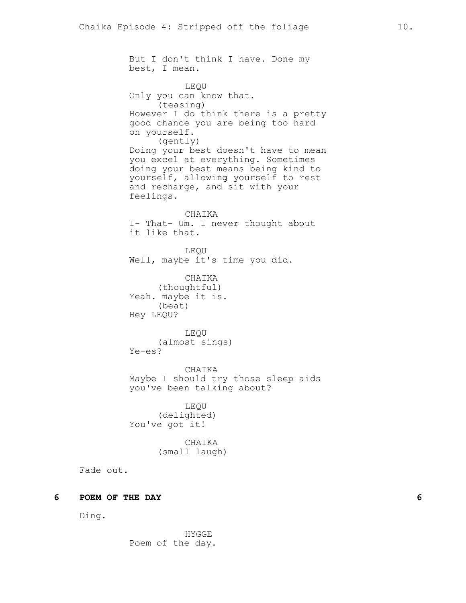But I don't think I have. Done my best, I mean. LEQU Only you can know that. (teasing) However I do think there is a pretty good chance you are being too hard on yourself. (gently) Doing your best doesn't have to mean you excel at everything. Sometimes doing your best means being kind to yourself, allowing yourself to rest and recharge, and sit with your feelings. CHAIKA I- That- Um. I never thought about it like that. LEQU Well, maybe it's time you did. CHAIKA (thoughtful) Yeah. maybe it is. (beat) Hey LEQU? LEQU (almost sings) Ye-es? CHAIKA Maybe I should try those sleep aids you've been talking about? LEQU (delighted) You've got it! CHAIKA (small laugh) Fade out.

# **6 POEM OF THE DAY 6**

Ding.

HYGGE Poem of the day.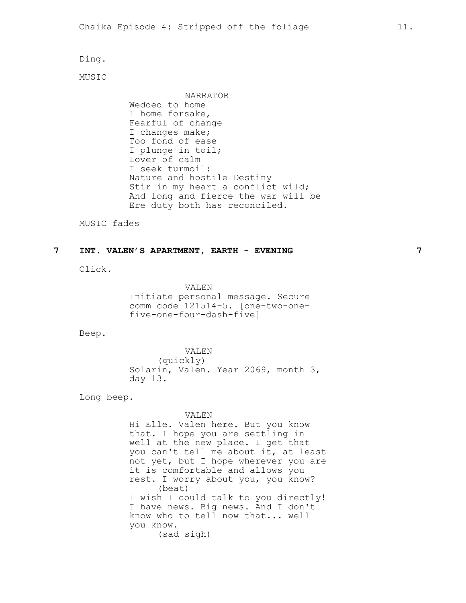Ding.

MUSIC

NARRATOR Wedded to home I home forsake, Fearful of change I changes make; Too fond of ease I plunge in toil; Lover of calm I seek turmoil: Nature and hostile Destiny Stir in my heart a conflict wild; And long and fierce the war will be Ere duty both has reconciled.

MUSIC fades

# **7 INT. VALEN'S APARTMENT, EARTH - EVENING 7**

Click.

VALEN Initiate personal message. Secure comm code 121514-5. [one-two-onefive-one-four-dash-five]

Beep.

VALEN (quickly) Solarin, Valen. Year 2069, month 3, day 13.

Long beep.

#### VALEN

Hi Elle. Valen here. But you know that. I hope you are settling in well at the new place. I get that you can't tell me about it, at least not yet, but I hope wherever you are it is comfortable and allows you rest. I worry about you, you know? (beat) I wish I could talk to you directly! I have news. Big news. And I don't know who to tell now that... well you know. (sad sigh)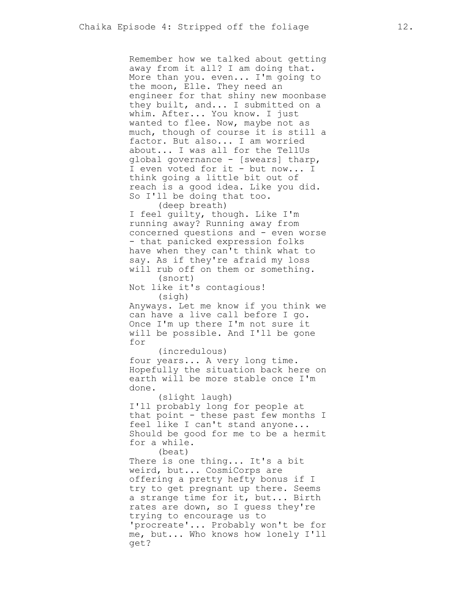Remember how we talked about getting away from it all? I am doing that. More than you. even... I'm going to the moon, Elle. They need an engineer for that shiny new moonbase they built, and... I submitted on a whim. After... You know. I just wanted to flee. Now, maybe not as much, though of course it is still a factor. But also... I am worried about... I was all for the TellUs global governance - [swears] tharp , I even voted for it - but now... I think going a little bit out of reach is a good idea. Like you did. So I'll be doing that too. (deep breath) I feel guilty, though. Like I'm running away? Running away from concerned questions and - even worse - that panicked expression folks have when they can't think what to say. As if they're afraid my loss will rub off on them or something.<br>(snort) Not like it's contagious! (sigh) Anyways. Let me know if you think we can have a live call before I go. Once I'm up there I'm not sure it will be possible. And I'll be gone for (incredulous ) four years... A very long time. Hopefully the situation back here on earth will be more stable once I'm done. (slight laugh ) I'll probably long for people at that point - these past few months I feel like I can't stand anyone... Should be good for me to be a hermit for a while. (beat) There is one thing... It's a bit weird, but... CosmiCorps are offering a pretty hefty bonus if I try to get pregnant up there. Seems a strange time for it, but... Birth rates are down, so I guess they're trying to encourage us to 'procreate'... Probably won't be for me, but... Who knows how lonely I'll get?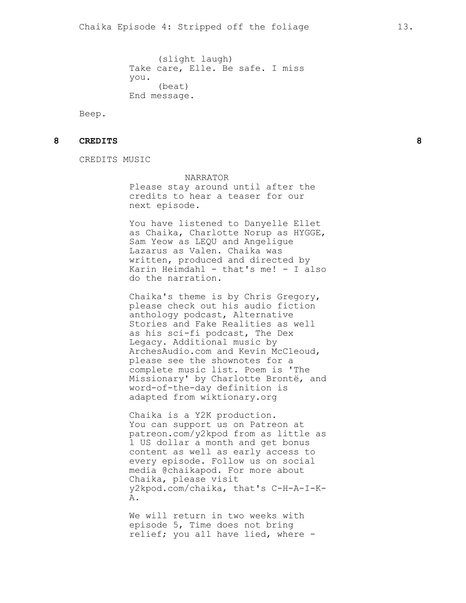(slight laugh) Take care, Elle. Be safe. I miss you. (beat) End message.

Beep.

# **8 CREDITS 8**

CREDITS MUSIC

NARRATOR Please stay around until after the credits to hear a teaser for our next episode.

You have listened to Danyelle Ellet as Chaika, Charlotte Norup as HYGGE, Sam Yeow as LEQU and Angeligue Lazarus as Valen. Chaika was written, produced and directed by Karin Heimdahl - that's me! - I also do the narration.

Chaika's theme is by Chris Gregory, please check out his audio fiction anthology podcast, Alternative Stories and Fake Realities as well as his sci-fi podcast, The Dex Legacy. Additional music by ArchesAudio.com and Kevin McCleoud, please see the shownotes for a complete music list. Poem is 'The Missionary' by Charlotte Brontë, and word-of-the-day definition is adapted from wiktionary.org

Chaika is a Y2K production. You can support us on Patreon at patreon.com/y2kpod from as little as 1 US dollar a month and get bonus content as well as early access to every episode. Follow us on social media @chaikapod. For more about Chaika, please visit y2kpod.com/chaika, that's C-H-A-I-K-A.

We will return in two weeks with episode 5, Time does not bring relief; you all have lied, where -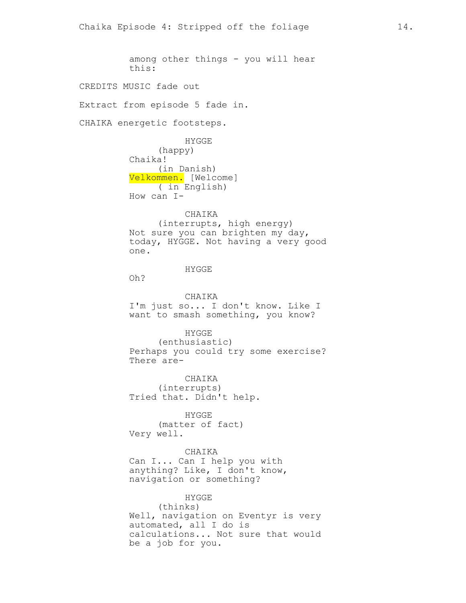among other things - you will hear this: CREDITS MUSIC fade out Extract from episode 5 fade in. CHAIKA energetic footsteps. HYGGE (happy) Chaika! (in Danish) Velkommen. [Welcome] ( in English) How can I-CHAIKA (interrupts, high energy) Not sure you can brighten my day, today, HYGGE. Not having a very good one. HYGGE Oh? CHAIKA I'm just so... I don't know. Like I want to smash something, you know? HYGGE (enthusiastic) Perhaps you could try some exercise? There are-CHAIKA (interrupts) Tried that. Didn't help. HYGGE (matter of fact) Very well. CHAIKA Can I... Can I help you with anything? Like, I don't know, navigation or something? HYGGE (thinks) Well, navigation on Eventyr is very automated, all I do is calculations... Not sure that would be a job for you.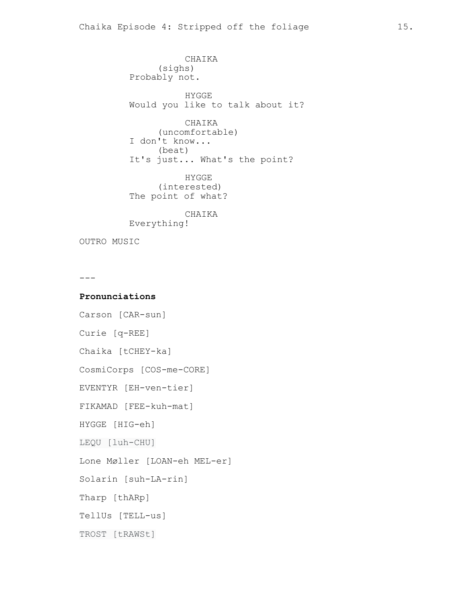CHAIKA (sighs) Probably not. HYGGE Would you like to talk about it? CHAIKA (uncomfortable) I don't know... (beat) It's just... What's the point? HYGGE (interested) The point of what? CHAIKA Everything! OUTRO MUSIC

 $---$ 

**Pronunciations** Carson [CAR-sun] Curie [q-REE] Chaika [tCHEY-ka] CosmiCorps [COS-me-CORE] EVENTYR [EH-ven-tier] FIKAMAD [FEE-kuh-mat] HYGGE [HIG-eh] LEQU [luh-CHU] Lone Møller [LOAN-eh MEL-er] Solarin [suh-LA-rin] Tharp [thARp] TellUs [TELL-us] TROST [tRAWSt]